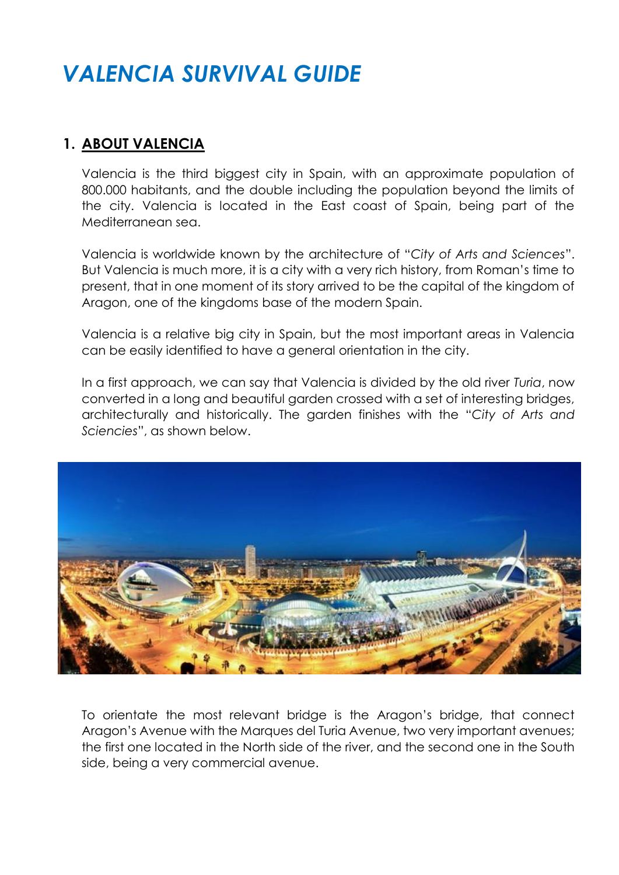# *VALENCIA SURVIVAL GUIDE*

#### **1. ABOUT VALENCIA**

Valencia is the third biggest city in Spain, with an approximate population of 800.000 habitants, and the double including the population beyond the limits of the city. Valencia is located in the East coast of Spain, being part of the Mediterranean sea.

Valencia is worldwide known by the architecture of "*City of Arts and Sciences*". But Valencia is much more, it is a city with a very rich history, from Roman's time to present, that in one moment of its story arrived to be the capital of the kingdom of Aragon, one of the kingdoms base of the modern Spain.

Valencia is a relative big city in Spain, but the most important areas in Valencia can be easily identified to have a general orientation in the city.

In a first approach, we can say that Valencia is divided by the old river *Turia*, now converted in a long and beautiful garden crossed with a set of interesting bridges, architecturally and historically. The garden finishes with the "*City of Arts and Sciencies*", as shown below.



To orientate the most relevant bridge is the Aragon's bridge, that connect Aragon's Avenue with the Marques del Turia Avenue, two very important avenues; the first one located in the North side of the river, and the second one in the South side, being a very commercial avenue.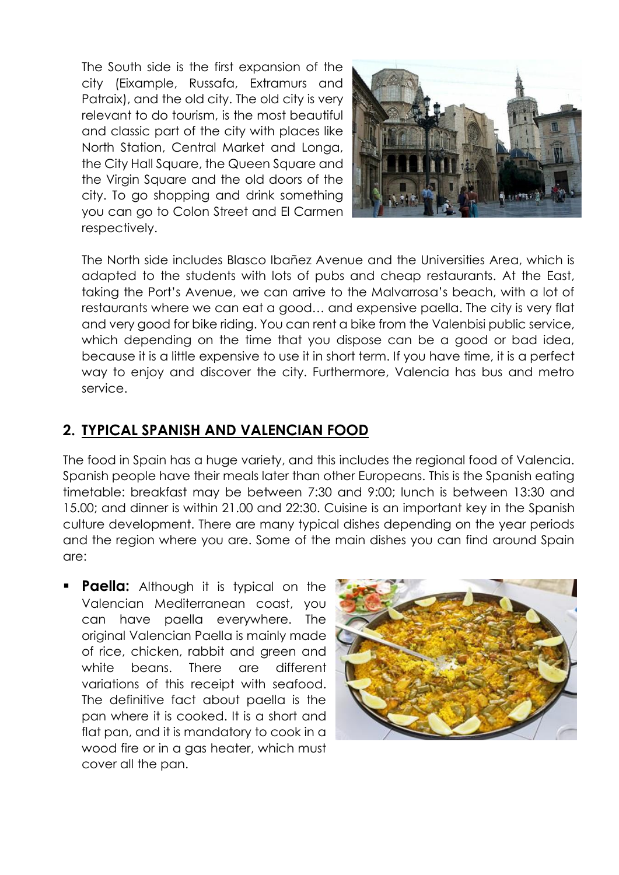The South side is the first expansion of the city (Eixample, Russafa, Extramurs and Patraix), and the old city. The old city is very relevant to do tourism, is the most beautiful and classic part of the city with places like North Station, Central Market and Longa, the City Hall Square, the Queen Square and the Virgin Square and the old doors of the city. To go shopping and drink something you can go to Colon Street and El Carmen respectively.



The North side includes Blasco Ibañez Avenue and the Universities Area, which is adapted to the students with lots of pubs and cheap restaurants. At the East, taking the Port's Avenue, we can arrive to the Malvarrosa's beach, with a lot of restaurants where we can eat a good… and expensive paella. The city is very flat and very good for bike riding. You can rent a bike from the Valenbisi public service, which depending on the time that you dispose can be a good or bad idea, because it is a little expensive to use it in short term. If you have time, it is a perfect way to enjoy and discover the city. Furthermore, Valencia has bus and metro service.

#### **2. TYPICAL SPANISH AND VALENCIAN FOOD**

The food in Spain has a huge variety, and this includes the regional food of Valencia. Spanish people have their meals later than other Europeans. This is the Spanish eating timetable: breakfast may be between 7:30 and 9:00; lunch is between 13:30 and 15.00; and dinner is within 21.00 and 22:30. Cuisine is an important key in the Spanish culture development. There are many typical dishes depending on the year periods and the region where you are. Some of the main dishes you can find around Spain are:

**Paella:** Although it is typical on the Valencian Mediterranean coast, you can have paella everywhere. The original Valencian Paella is mainly made of rice, chicken, rabbit and green and white beans. There are different variations of this receipt with seafood. The definitive fact about paella is the pan where it is cooked. It is a short and flat pan, and it is mandatory to cook in a wood fire or in a gas heater, which must cover all the pan.

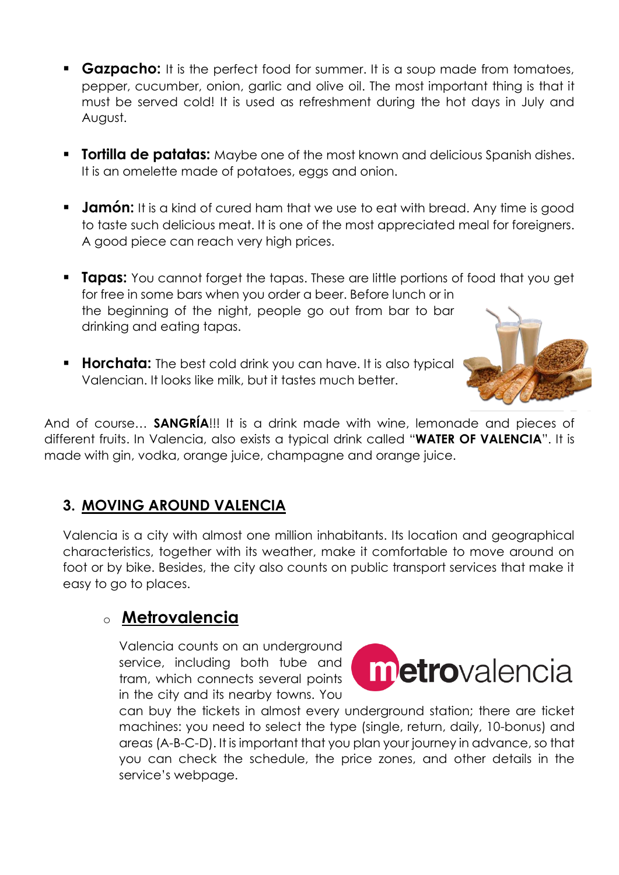- **Gazpacho:** It is the perfect food for summer. It is a soup made from tomatoes, pepper, cucumber, onion, garlic and olive oil. The most important thing is that it must be served cold! It is used as refreshment during the hot days in July and August.
- **Tortilla de patatas:** Maybe one of the most known and delicious Spanish dishes. It is an omelette made of potatoes, eggs and onion.
- **Jamón:** It is a kind of cured ham that we use to eat with bread. Any time is good to taste such delicious meat. It is one of the most appreciated meal for foreigners. A good piece can reach very high prices.
- **Tapas:** You cannot forget the tapas. These are little portions of food that you get for free in some bars when you order a beer. Before lunch or in the beginning of the night, people go out from bar to bar drinking and eating tapas.
- **Horchata:** The best cold drink you can have. It is also typical Valencian. It looks like milk, but it tastes much better.



And of course… **SANGRÍA**!!! It is a drink made with wine, lemonade and pieces of different fruits. In Valencia, also exists a typical drink called "**WATER OF VALENCIA**". It is made with gin, vodka, orange juice, champagne and orange juice.

# **3. MOVING AROUND VALENCIA**

Valencia is a city with almost one million inhabitants. Its location and geographical characteristics, together with its weather, make it comfortable to move around on foot or by bike. Besides, the city also counts on public transport services that make it easy to go to places.

# o **Metrovalencia**

Valencia counts on an underground service, including both tube and tram, which connects several points in the city and its nearby towns. You



can buy the tickets in almost every underground station; there are ticket machines: you need to select the type (single, return, daily, 10-bonus) and areas (A-B-C-D). It is important that you plan your journey in advance, so that you can check the schedule, the price zones, and other details in the service's webpage.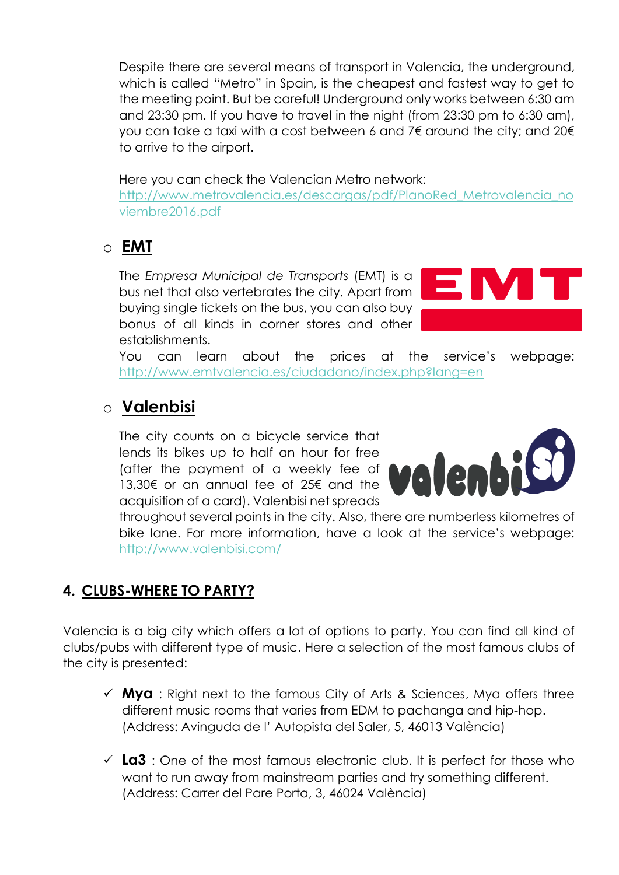Despite there are several means of transport in Valencia, the underground, which is called "Metro" in Spain, is the cheapest and fastest way to get to the meeting point. But be careful! Underground only works between 6:30 am and 23:30 pm. If you have to travel in the night (from 23:30 pm to 6:30 am), you can take a taxi with a cost between 6 and 7€ around the city; and 20€ to arrive to the airport.

#### Here you can check the Valencian Metro network:

[http://www.metrovalencia.es/descargas/pdf/PlanoRed\\_Metrovalencia\\_no](http://www.metrovalencia.es/descargas/pdf/PlanoRed_Metrovalencia_noviembre2016.pdf) [viembre2016.pdf](http://www.metrovalencia.es/descargas/pdf/PlanoRed_Metrovalencia_noviembre2016.pdf)

# o **EMT**

The *Empresa Municipal de Transports* (EMT) is a bus net that also vertebrates the city. Apart from buying single tickets on the bus, you can also buy bonus of all kinds in corner stores and other establishments.



You can learn about the prices at the service's webpage: <http://www.emtvalencia.es/ciudadano/index.php?lang=en>

# o **Valenbisi**

The city counts on a bicycle service that lends its bikes up to half an hour for free (after the payment of a weekly fee of 13,30€ or an annual fee of 25€ and the acquisition of a card). Valenbisi net spreads



throughout several points in the city. Also, there are numberless kilometres of bike lane. For more information, have a look at the service's webpage: <http://www.valenbisi.com/>

## **4. CLUBS-WHERE TO PARTY?**

Valencia is a big city which offers a lot of options to party. You can find all kind of clubs/pubs with different type of music. Here a selection of the most famous clubs of the city is presented:

- $\checkmark$  **Mya** : Right next to the famous City of Arts & Sciences, Mya offers three different music rooms that varies from EDM to pachanga and hip-hop. (Address: Avinguda de l' Autopista del Saler, 5, 46013 València)
- $\checkmark$  **La3** : One of the most famous electronic club. It is perfect for those who want to run away from mainstream parties and try something different. (Address: Carrer del Pare Porta, 3, 46024 València)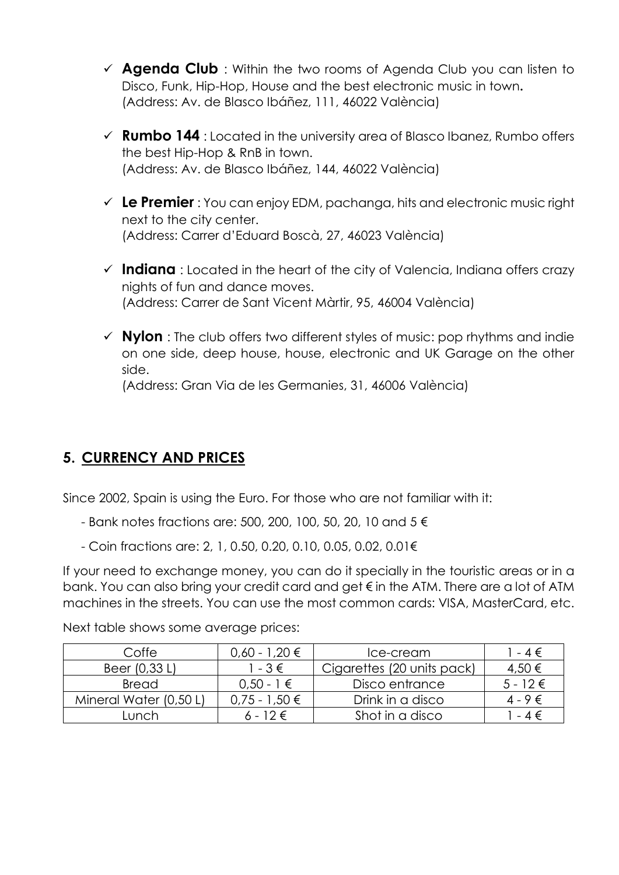- **★ Agenda Club** : Within the two rooms of Agenda Club you can listen to Disco, Funk, Hip-Hop, House and the best electronic music in town**.** (Address: Av. de Blasco Ibáñez, 111, 46022 València)
- **Rumbo 144** : Located in the university area of Blasco Ibanez, Rumbo offers the best Hip-Hop & RnB in town. (Address: Av. de Blasco Ibáñez, 144, 46022 València)
- **Le Premier** : You can enjoy EDM, pachanga, hits and electronic music right next to the city center. (Address: Carrer d'Eduard Boscà, 27, 46023 València)
- **Indiana** : Located in the heart of the city of Valencia, Indiana offers crazy nights of fun and dance moves. (Address: Carrer de Sant Vicent Màrtir, 95, 46004 València)
- **Nylon** : The club offers two different styles of music: pop rhythms and indie on one side, deep house, house, electronic and UK Garage on the other side.

(Address: Gran Via de les Germanies, 31, 46006 València)

## **5. CURRENCY AND PRICES**

Since 2002, Spain is using the Euro. For those who are not familiar with it:

- Bank notes fractions are: 500, 200, 100, 50, 20, 10 and 5 €
- Coin fractions are: 2, 1, 0.50, 0.20, 0.10, 0.05, 0.02, 0.01€

If your need to exchange money, you can do it specially in the touristic areas or in a bank. You can also bring your credit card and get € in the ATM. There are a lot of ATM machines in the streets. You can use the most common cards: VISA, MasterCard, etc.

Next table shows some average prices:

| Coffe                  | 0,60 - 1,20 €     | Ice-cream                  | $-4 \in$     |
|------------------------|-------------------|----------------------------|--------------|
| Beer (0,33 L)          | $1 - 3 \in$       | Cigarettes (20 units pack) | 4,50 €       |
| <b>Bread</b>           | $0.50 - 1 \in$    | Disco entrance             | $5 - 12 \in$ |
| Mineral Water (0,50 L) | $0.75 - 1.50 \in$ | Drink in a disco           | $4 - 9 \in$  |
| unch                   | $6 - 12 \in$      | Shot in a disco            | $-4 \in$     |